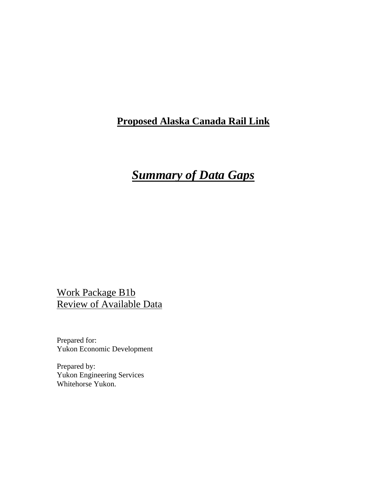### **Proposed Alaska Canada Rail Link**

# *Summary of Data Gaps*

Work Package B1b Review of Available Data

Prepared for: Yukon Economic Development

Prepared by: Yukon Engineering Services Whitehorse Yukon.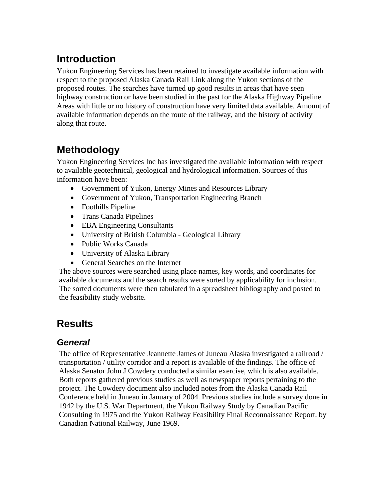# **Introduction**

Yukon Engineering Services has been retained to investigate available information with respect to the proposed Alaska Canada Rail Link along the Yukon sections of the proposed routes. The searches have turned up good results in areas that have seen highway construction or have been studied in the past for the Alaska Highway Pipeline. Areas with little or no history of construction have very limited data available. Amount of available information depends on the route of the railway, and the history of activity along that route.

### **Methodology**

Yukon Engineering Services Inc has investigated the available information with respect to available geotechnical, geological and hydrological information. Sources of this information have been:

- Government of Yukon, Energy Mines and Resources Library
- Government of Yukon, Transportation Engineering Branch
- Foothills Pipeline
- Trans Canada Pipelines
- EBA Engineering Consultants
- University of British Columbia Geological Library
- Public Works Canada
- University of Alaska Library
- General Searches on the Internet

The above sources were searched using place names, key words, and coordinates for available documents and the search results were sorted by applicability for inclusion. The sorted documents were then tabulated in a spreadsheet bibliography and posted to the feasibility study website.

## **Results**

#### *General*

The office of Representative Jeannette James of Juneau Alaska investigated a railroad / transportation / utility corridor and a report is available of the findings. The office of Alaska Senator John J Cowdery conducted a similar exercise, which is also available. Both reports gathered previous studies as well as newspaper reports pertaining to the project. The Cowdery document also included notes from the Alaska Canada Rail Conference held in Juneau in January of 2004. Previous studies include a survey done in 1942 by the U.S. War Department, the Yukon Railway Study by Canadian Pacific Consulting in 1975 and the Yukon Railway Feasibility Final Reconnaissance Report. by Canadian National Railway, June 1969.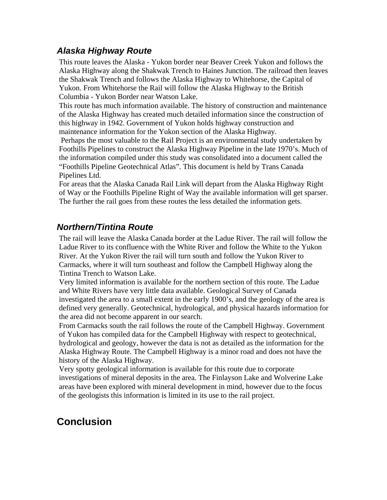#### *Alaska Highway Route*

This route leaves the Alaska - Yukon border near Beaver Creek Yukon and follows the Alaska Highway along the Shakwak Trench to Haines Junction. The railroad then leaves the Shakwak Trench and follows the Alaska Highway to Whitehorse, the Capital of Yukon. From Whitehorse the Rail will follow the Alaska Highway to the British Columbia - Yukon Border near Watson Lake.

This route has much information available. The history of construction and maintenance of the Alaska Highway has created much detailed information since the construction of this highway in 1942. Government of Yukon holds highway construction and maintenance information for the Yukon section of the Alaska Highway.

 Perhaps the most valuable to the Rail Project is an environmental study undertaken by Foothills Pipelines to construct the Alaska Highway Pipeline in the late 1970's. Much of the information compiled under this study was consolidated into a document called the "Foothills Pipeline Geotechnical Atlas". This document is held by Trans Canada Pipelines Ltd.

For areas that the Alaska Canada Rail Link will depart from the Alaska Highway Right of Way or the Foothills Pipeline Right of Way the available information will get sparser. The further the rail goes from these routes the less detailed the information gets.

#### *Northern/Tintina Route*

The rail will leave the Alaska Canada border at the Ladue River. The rail will follow the Ladue River to its confluence with the White River and follow the White to the Yukon River. At the Yukon River the rail will turn south and follow the Yukon River to Carmacks, where it will turn southeast and follow the Campbell Highway along the Tintina Trench to Watson Lake.

Very limited information is available for the northern section of this route. The Ladue and White Rivers have very little data available. Geological Survey of Canada investigated the area to a small extent in the early 1900's, and the geology of the area is defined very generally. Geotechnical, hydrological, and physical hazards information for the area did not become apparent in our search.

From Carmacks south the rail follows the route of the Campbell Highway. Government of Yukon has compiled data for the Campbell Highway with respect to geotechnical, hydrological and geology, however the data is not as detailed as the information for the Alaska Highway Route. The Campbell Highway is a minor road and does not have the history of the Alaska Highway.

Very spotty geological information is available for this route due to corporate investigations of mineral deposits in the area. The Finlayson Lake and Wolverine Lake areas have been explored with mineral development in mind, however due to the focus of the geologists this information is limited in its use to the rail project.

## **Conclusion**